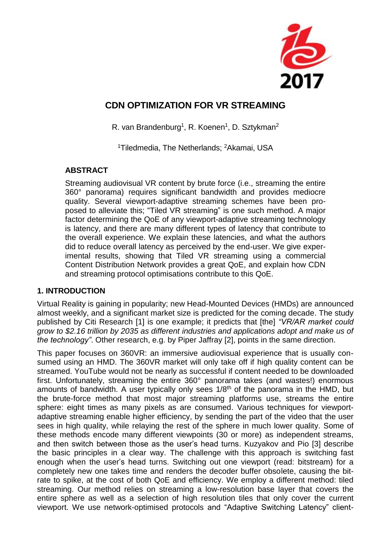

# **CDN OPTIMIZATION FOR VR STREAMING**

R. van Brandenburg<sup>1</sup>, R. Koenen<sup>1</sup>, D. Sztykman<sup>2</sup>

<sup>1</sup>Tiledmedia, The Netherlands; <sup>2</sup>Akamai, USA

# **ABSTRACT**

Streaming audiovisual VR content by brute force (i.e., streaming the entire 360° panorama) requires significant bandwidth and provides mediocre quality. Several viewport-adaptive streaming schemes have been proposed to alleviate this; "Tiled VR streaming" is one such method. A major factor determining the QoE of any viewport-adaptive streaming technology is latency, and there are many different types of latency that contribute to the overall experience. We explain these latencies, and what the authors did to reduce overall latency as perceived by the end-user. We give experimental results, showing that Tiled VR streaming using a commercial Content Distribution Network provides a great QoE, and explain how CDN and streaming protocol optimisations contribute to this QoE.

## **1. INTRODUCTION**

Virtual Reality is gaining in popularity; new Head-Mounted Devices (HMDs) are announced almost weekly, and a significant market size is predicted for the coming decade. The study published by Citi Research [\[1\]](#page-8-0) is one example; it predicts that [the] *"VR/AR market could grow to \$2.16 trillion by 2035 as different industries and applications adopt and make us of the technology"*. Other research, e.g. by Piper Jaffray [\[2\],](#page-8-1) points in the same direction.

This paper focuses on 360VR: an immersive audiovisual experience that is usually consumed using an HMD. The 360VR market will only take off if high quality content can be streamed. YouTube would not be nearly as successful if content needed to be downloaded first. Unfortunately, streaming the entire 360° panorama takes (and wastes!) enormous amounts of bandwidth. A user typically only sees 1/8<sup>th</sup> of the panorama in the HMD, but the brute-force method that most major streaming platforms use, streams the entire sphere: eight times as many pixels as are consumed. Various techniques for viewportadaptive streaming enable higher efficiency, by sending the part of the video that the user sees in high quality, while relaying the rest of the sphere in much lower quality. Some of these methods encode many different viewpoints (30 or more) as independent streams, and then switch between those as the user's head turns. Kuzyakov and Pio [\[3\]](#page-8-2) describe the basic principles in a clear way. The challenge with this approach is switching fast enough when the user's head turns. Switching out one viewport (read: bitstream) for a completely new one takes time and renders the decoder buffer obsolete, causing the bitrate to spike, at the cost of both QoE and efficiency. We employ a different method: tiled streaming. Our method relies on streaming a low-resolution base layer that covers the entire sphere as well as a selection of high resolution tiles that only cover the current viewport. We use network-optimised protocols and "Adaptive Switching Latency" client-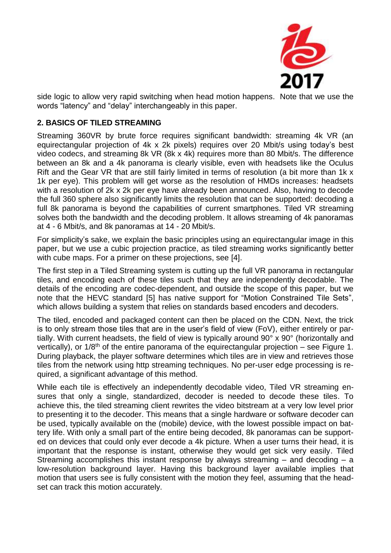

side logic to allow very rapid switching when head motion happens. Note that we use the words "latency" and "delay" interchangeably in this paper.

## **2. BASICS OF TILED STREAMING**

Streaming 360VR by brute force requires significant bandwidth: streaming 4k VR (an equirectangular projection of 4k x 2k pixels) requires over 20 Mbit/s using today's best video codecs, and streaming 8k VR (8k x 4k) requires more than 80 Mbit/s. The difference between an 8k and a 4k panorama is clearly visible, even with headsets like the Oculus Rift and the Gear VR that are still fairly limited in terms of resolution (a bit more than 1k x 1k per eye). This problem will get worse as the resolution of HMDs increases: headsets with a resolution of 2k x 2k per eye have already been announced. Also, having to decode the full 360 sphere also significantly limits the resolution that can be supported: decoding a full 8k panorama is beyond the capabilities of current smartphones. Tiled VR streaming solves both the bandwidth and the decoding problem. It allows streaming of 4k panoramas at 4 - 6 Mbit/s, and 8k panoramas at 14 - 20 Mbit/s.

For simplicity's sake, we explain the basic principles using an equirectangular image in this paper, but we use a cubic projection practice, as tiled streaming works significantly better with cube maps. For a primer on these projections, see [\[4\].](#page-8-3)

The first step in a Tiled Streaming system is cutting up the full VR panorama in rectangular tiles, and encoding each of these tiles such that they are independently decodable. The details of the encoding are codec-dependent, and outside the scope of this paper, but we note that the HEVC standard [\[5\]](#page-8-4) has native support for "Motion Constrained Tile Sets", which allows building a system that relies on standards based encoders and decoders.

The tiled, encoded and packaged content can then be placed on the CDN. Next, the trick is to only stream those tiles that are in the user's field of view (FoV), either entirely or partially. With current headsets, the field of view is typically around 90° x 90° (horizontally and vertically), or  $1/8<sup>th</sup>$  of the entire panorama of the equirectangular projection – see Figure 1. During playback, the player software determines which tiles are in view and retrieves those tiles from the network using http streaming techniques. No per-user edge processing is required, a significant advantage of this method.

While each tile is effectively an independently decodable video, Tiled VR streaming ensures that only a single, standardized, decoder is needed to decode these tiles. To achieve this, the tiled streaming client rewrites the video bitstream at a very low level prior to presenting it to the decoder. This means that a single hardware or software decoder can be used, typically available on the (mobile) device, with the lowest possible impact on battery life. With only a small part of the entire being decoded, 8k panoramas can be supported on devices that could only ever decode a 4k picture. When a user turns their head, it is important that the response is instant, otherwise they would get sick very easily. Tiled Streaming accomplishes this instant response by always streaming  $-$  and decoding  $-$  a low-resolution background layer. Having this background layer available implies that motion that users see is fully consistent with the motion they feel, assuming that the headset can track this motion accurately.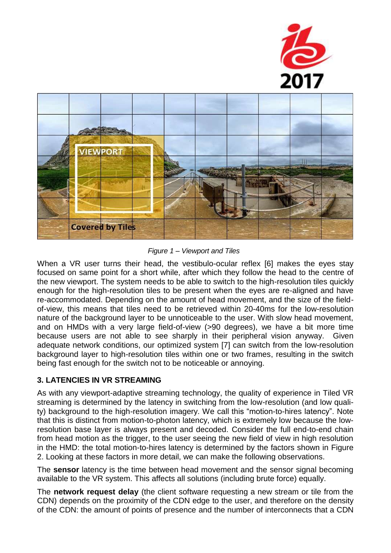



*Figure 1 – Viewport and Tiles*

When a VR user turns their head, the vestibulo-ocular reflex [\[6\]](#page-8-5) makes the eyes stay focused on same point for a short while, after which they follow the head to the centre of the new viewport. The system needs to be able to switch to the high-resolution tiles quickly enough for the high-resolution tiles to be present when the eyes are re-aligned and have re-accommodated. Depending on the amount of head movement, and the size of the fieldof-view, this means that tiles need to be retrieved within 20-40ms for the low-resolution nature of the background layer to be unnoticeable to the user. With slow head movement, and on HMDs with a very large field-of-view (>90 degrees), we have a bit more time because users are not able to see sharply in their peripheral vision anyway. Given adequate network conditions, our optimized system [\[7\]](#page-8-6) can switch from the low-resolution background layer to high-resolution tiles within one or two frames, resulting in the switch being fast enough for the switch not to be noticeable or annoying.

## **3. LATENCIES IN VR STREAMING**

As with any viewport-adaptive streaming technology, the quality of experience in Tiled VR streaming is determined by the latency in switching from the low-resolution (and low quality) background to the high-resolution imagery. We call this "motion-to-hires latency". Note that this is distinct from motion-to-photon latency, which is extremely low because the lowresolution base layer is always present and decoded. Consider the full end-to-end chain from head motion as the trigger, to the user seeing the new field of view in high resolution in the HMD: the total motion-to-hires latency is determined by the factors shown in Figure 2. Looking at these factors in more detail, we can make the following observations.

The **sensor** latency is the time between head movement and the sensor signal becoming available to the VR system. This affects all solutions (including brute force) equally.

The **network request delay** (the client software requesting a new stream or tile from the CDN) depends on the proximity of the CDN edge to the user, and therefore on the density of the CDN: the amount of points of presence and the number of interconnects that a CDN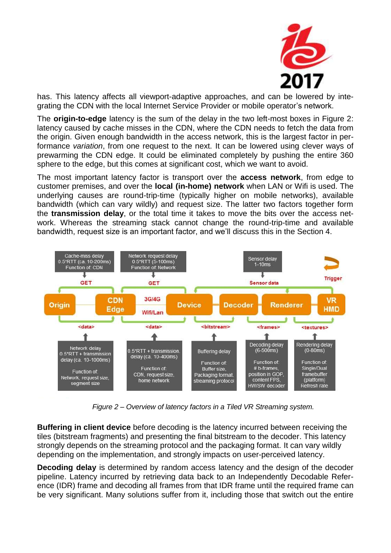

has. This latency affects all viewport-adaptive approaches, and can be lowered by integrating the CDN with the local Internet Service Provider or mobile operator's network.

The **origin-to-edge** latency is the sum of the delay in the two left-most boxes in Figure 2: latency caused by cache misses in the CDN, where the CDN needs to fetch the data from the origin. Given enough bandwidth in the access network, this is the largest factor in performance *variation*, from one request to the next. It can be lowered using clever ways of prewarming the CDN edge. It could be eliminated completely by pushing the entire 360 sphere to the edge, but this comes at significant cost, which we want to avoid.

The most important latency factor is transport over the **access network**, from edge to customer premises, and over the **local (in-home) network** when LAN or Wifi is used. The underlying causes are round-trip-time (typically higher on mobile networks), available bandwidth (which can vary wildly) and request size. The latter two factors together form the **transmission delay**, or the total time it takes to move the bits over the access network. Whereas the streaming stack cannot change the round-trip-time and available bandwidth, request size is an important factor, and we'll discuss this in the Section 4.



*Figure 2 – Overview of latency factors in a Tiled VR Streaming system.*

**Buffering in client device** before decoding is the latency incurred between receiving the tiles (bitstream fragments) and presenting the final bitstream to the decoder. This latency strongly depends on the streaming protocol and the packaging format. It can vary wildly depending on the implementation, and strongly impacts on user-perceived latency.

**Decoding delay** is determined by random access latency and the design of the decoder pipeline. Latency incurred by retrieving data back to an Independently Decodable Reference (IDR) frame and decoding all frames from that IDR frame until the required frame can be very significant. Many solutions suffer from it, including those that switch out the entire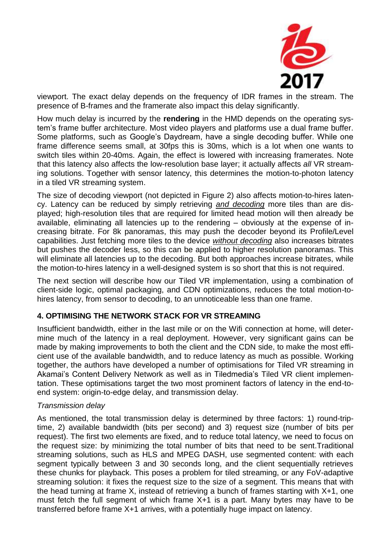

viewport. The exact delay depends on the frequency of IDR frames in the stream. The presence of B-frames and the framerate also impact this delay significantly.

How much delay is incurred by the **rendering** in the HMD depends on the operating system's frame buffer architecture. Most video players and platforms use a dual frame buffer. Some platforms, such as Google's Daydream, have a single decoding buffer. While one frame difference seems small, at 30fps this is 30ms, which is a lot when one wants to switch tiles within 20-40ms. Again, the effect is lowered with increasing framerates. Note that this latency also affects the low-resolution base layer; it actually affects *all* VR streaming solutions. Together with sensor latency, this determines the motion-to-photon latency in a tiled VR streaming system.

The size of decoding viewport (not depicted in Figure 2) also affects motion-to-hires latency. Latency can be reduced by simply retrieving *and decoding* more tiles than are displayed; high-resolution tiles that are required for limited head motion will then already be available, eliminating all latencies up to the rendering – obviously at the expense of increasing bitrate. For 8k panoramas, this may push the decoder beyond its Profile/Level capabilities. Just fetching more tiles to the device *without decoding* also increases bitrates but pushes the decoder less, so this can be applied to higher resolution panoramas. This will eliminate all latencies up to the decoding. But both approaches increase bitrates, while the motion-to-hires latency in a well-designed system is so short that this is not required.

The next section will describe how our Tiled VR implementation, using a combination of client-side logic, optimal packaging, and CDN optimizations, reduces the total motion-tohires latency, from sensor to decoding, to an unnoticeable less than one frame.

## **4. OPTIMISING THE NETWORK STACK FOR VR STREAMING**

Insufficient bandwidth, either in the last mile or on the Wifi connection at home, will determine much of the latency in a real deployment. However, very significant gains can be made by making improvements to both the client and the CDN side, to make the most efficient use of the available bandwidth, and to reduce latency as much as possible. Working together, the authors have developed a number of optimisations for Tiled VR streaming in Akamai's Content Delivery Network as well as in Tiledmedia's Tiled VR client implementation. These optimisations target the two most prominent factors of latency in the end-toend system: origin-to-edge delay, and transmission delay.

#### *Transmission delay*

As mentioned, the total transmission delay is determined by three factors: 1) round-triptime, 2) available bandwidth (bits per second) and 3) request size (number of bits per request). The first two elements are fixed, and to reduce total latency, we need to focus on the request size: by minimizing the total number of bits that need to be sent.Traditional streaming solutions, such as HLS and MPEG DASH, use segmented content: with each segment typically between 3 and 30 seconds long, and the client sequentially retrieves these chunks for playback. This poses a problem for tiled streaming, or any FoV-adaptive streaming solution: it fixes the request size to the size of a segment. This means that with the head turning at frame X, instead of retrieving a bunch of frames starting with X+1, one must fetch the full segment of which frame X+1 is a part. Many bytes may have to be transferred before frame X+1 arrives, with a potentially huge impact on latency.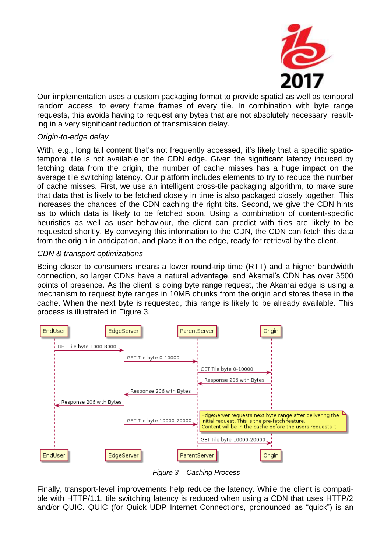

Our implementation uses a custom packaging format to provide spatial as well as temporal random access, to every frame frames of every tile. In combination with byte range requests, this avoids having to request any bytes that are not absolutely necessary, resulting in a very significant reduction of transmission delay.

#### *Origin-to-edge delay*

With, e.g., long tail content that's not frequently accessed, it's likely that a specific spatiotemporal tile is not available on the CDN edge. Given the significant latency induced by fetching data from the origin, the number of cache misses has a huge impact on the average tile switching latency. Our platform includes elements to try to reduce the number of cache misses. First, we use an intelligent cross-tile packaging algorithm, to make sure that data that is likely to be fetched closely in time is also packaged closely together. This increases the chances of the CDN caching the right bits. Second, we give the CDN hints as to which data is likely to be fetched soon. Using a combination of content-specific heuristics as well as user behaviour, the client can predict with tiles are likely to be requested shorltly. By conveying this information to the CDN, the CDN can fetch this data from the origin in anticipation, and place it on the edge, ready for retrieval by the client.

#### *CDN & transport optimizations*

Being closer to consumers means a lower round-trip time (RTT) and a higher bandwidth connection, so larger CDNs have a natural advantage, and Akamai's CDN has over 3500 points of presence. As the client is doing byte range request, the Akamai edge is using a mechanism to request byte ranges in 10MB chunks from the origin and stores these in the cache. When the next byte is requested, this range is likely to be already available. This process is illustrated in Figure 3.



*Figure 3 – Caching Process*

Finally, transport-level improvements help reduce the latency. While the client is compatible with HTTP/1.1, tile switching latency is reduced when using a CDN that uses HTTP/2 and/or QUIC. QUIC (for Quick UDP Internet Connections, pronounced as "quick") is an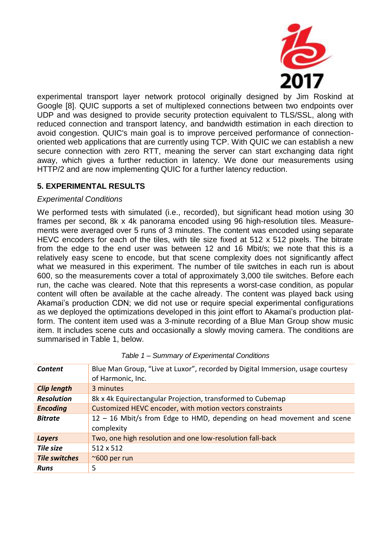

experimental transport layer network protocol originally designed by Jim Roskind at Google [\[8\].](#page-8-7) QUIC supports a set of multiplexed connections between two endpoints over UDP and was designed to provide security protection equivalent to TLS/SSL, along with reduced connection and transport latency, and bandwidth estimation in each direction to avoid congestion. QUIC's main goal is to improve perceived performance of connectionoriented web applications that are currently using TCP. With QUIC we can establish a new secure connection with zero RTT, meaning the server can start exchanging data right away, which gives a further reduction in latency. We done our measurements using HTTP/2 and are now implementing QUIC for a further latency reduction.

# **5. EXPERIMENTAL RESULTS**

#### *Experimental Conditions*

We performed tests with simulated (i.e., recorded), but significant head motion using 30 frames per second, 8k x 4k panorama encoded using 96 high-resolution tiles. Measurements were averaged over 5 runs of 3 minutes. The content was encoded using separate HEVC encoders for each of the tiles, with tile size fixed at 512 x 512 pixels. The bitrate from the edge to the end user was between 12 and 16 Mbit/s; we note that this is a relatively easy scene to encode, but that scene complexity does not significantly affect what we measured in this experiment. The number of tile switches in each run is about 600, so the measurements cover a total of approximately 3,000 tile switches. Before each run, the cache was cleared. Note that this represents a worst-case condition, as popular content will often be available at the cache already. The content was played back using Akamai's production CDN; we did not use or require special experimental configurations as we deployed the optimizations developed in this joint effort to Akamai's production platform. The content item used was a 3-minute recording of a Blue Man Group show music item. It includes scene cuts and occasionally a slowly moving camera. The conditions are summarised in [Table 1, below.](#page-6-0)

<span id="page-6-0"></span>

| Content              | Blue Man Group, "Live at Luxor", recorded by Digital Immersion, usage courtesy<br>of Harmonic, Inc. |  |  |  |
|----------------------|-----------------------------------------------------------------------------------------------------|--|--|--|
| <b>Clip length</b>   | 3 minutes                                                                                           |  |  |  |
| <b>Resolution</b>    | 8k x 4k Equirectangular Projection, transformed to Cubemap                                          |  |  |  |
| <b>Encoding</b>      | Customized HEVC encoder, with motion vectors constraints                                            |  |  |  |
| <b>Bitrate</b>       | 12 - 16 Mbit/s from Edge to HMD, depending on head movement and scene<br>complexity                 |  |  |  |
| <b>Layers</b>        | Two, one high resolution and one low-resolution fall-back                                           |  |  |  |
| Tile size            | 512 x 512                                                                                           |  |  |  |
| <b>Tile switches</b> | $\approx$ 600 per run                                                                               |  |  |  |
| <b>Runs</b>          | 5                                                                                                   |  |  |  |

| Table 1 – Summary of Experimental Conditions |  |  |  |  |  |
|----------------------------------------------|--|--|--|--|--|
|----------------------------------------------|--|--|--|--|--|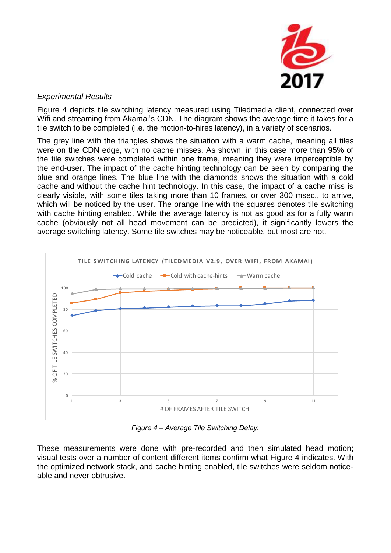

#### *Experimental Results*

Figure 4 depicts tile switching latency measured using Tiledmedia client, connected over Wifi and streaming from Akamai's CDN. The diagram shows the average time it takes for a tile switch to be completed (i.e. the motion-to-hires latency), in a variety of scenarios.

The grey line with the triangles shows the situation with a warm cache, meaning all tiles were on the CDN edge, with no cache misses. As shown, in this case more than 95% of the tile switches were completed within one frame, meaning they were imperceptible by the end-user. The impact of the cache hinting technology can be seen by comparing the blue and orange lines. The blue line with the diamonds shows the situation with a cold cache and without the cache hint technology. In this case, the impact of a cache miss is clearly visible, with some tiles taking more than 10 frames, or over 300 msec., to arrive, which will be noticed by the user. The orange line with the squares denotes tile switching with cache hinting enabled. While the average latency is not as good as for a fully warm cache (obviously not all head movement can be predicted), it significantly lowers the average switching latency. Some tile switches may be noticeable, but most are not.



*Figure 4 – Average Tile Switching Delay.*

These measurements were done with pre-recorded and then simulated head motion; visual tests over a number of content different items confirm what Figure 4 indicates. With the optimized network stack, and cache hinting enabled, tile switches were seldom noticeable and never obtrusive.